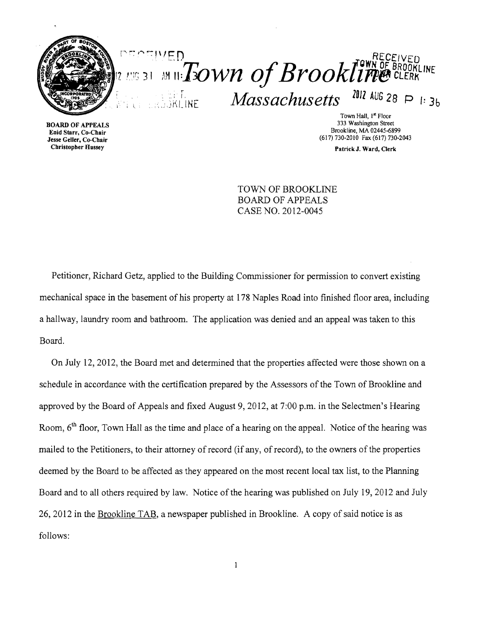

# **DEALIVED**<br>2008 31 MILITOWN Of Brookline CLERK  $Massachusetts \begin{bmatrix} 2012 & \text{A} \cup 6 & 28 \end{bmatrix}$  P  $_{1:3b}$

Town Hall, 1st Floor

Fax Geller, Co-Chair<br>
Christopher Hussey Patrick I Ward Clerk<br>
Christopher Hussey Patrick I Ward Clerk

BOARD OF APPEALS 333 Washington Street<br>
Brookline, MA 02445-689<br>
Brookline, MA 02445-689 Brookline, MA 02445-6899

Patrick J. Ward, Clerk

TOWN OF BROOKLINE BOARD OF APPEALS CASE NO. 2012-0045

Petitioner, Richard Getz, applied to the Building Commissioner for permission to convert existing mechanical space in the basement of his property at 178 Naples Road into finished floor area, including a hallway, laundry room and bathroom. The application was denied and an appeal was taken to this Board.

On July 12,2012, the Board met and determined that the properties affected were those shown on a schedule in accordance with the certification prepared by the Assessors of the Town of Brookline and approved by the Board of Appeals and fixed August 9,2012, at 7:00 p.m. in the Selectmen's Hearing Room,  $6<sup>th</sup>$  floor, Town Hall as the time and place of a hearing on the appeal. Notice of the hearing was mailed to the Petitioners, to their attorney of record (if any, of record), to the owners of the properties deemed by the Board to be affected as they appeared on the most recent local tax list, to the Planning Board and to all others required by law. Notice of the hearing was published on July 19, 2012 and July 26,2012 in the Brookline TAB, a newspaper published in Brookline. A copy of said notice is as follows:

 $\mathbf{1}$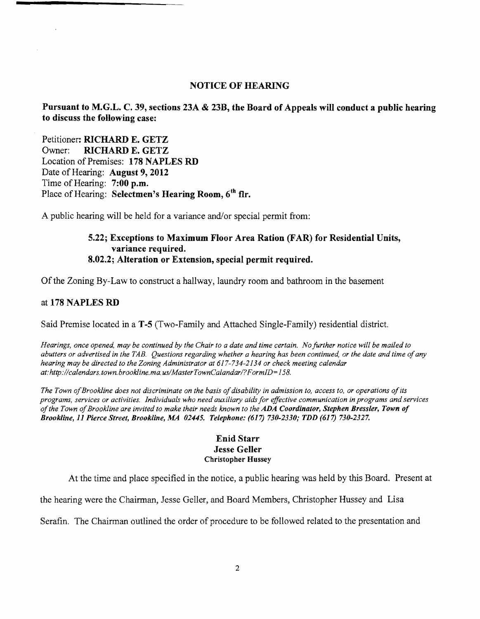#### NOTICE OF HEARING

Pursuant to M.G.L. C. 39, sections 23A & 23B, the Board of Appeals will conduct a public hearing to discuss the following case:

Petitioner: RICHARD E. GETZ Owner: RICHARD E. GETZ Location of Premises: 178 NAPLES RD Date of Hearing: August 9, 2012 Time of Hearing: 7:00 p.m. Place of Hearing: Selectmen's Hearing Room, 6<sup>th</sup> flr.

A public hearing will be held for a variance and/or special permit from:

## 5.22; Exceptions to Maximum Floor Area Ration (FAR) for Residential Units, variance required. 8.02.2; Alteration or Extension, special permit required.

Ofthe Zoning By-Law to construct a hallway, laundry room and bathroom in the basement

## at 178 NAPLES RD

Said Premise located in a T-5 (Two-Family and Attached Single-Family) residential district.

*Hearings, once opened, may be continued by the Chair to a date and time certain. No further notice will be mailed to abutters or advertised in the TAB. Questions regarding whether a hearing has been continued, or the date and time ofany hearing may be directed to the Zoning Administrator at* 617-734-2134 *or check meeting calendar at: http://calendars.town.brookline.ma.usIMasterTownCalandarl? F ormlD= 158.* 

The Town of Brookline does not discriminate on the basis of disability in admission to, access to, or operations of its *programs, services or activities. Individuals who need auxiliary aids for effective communication in programs and services ofthe Town ofBrookline are invited to make their needs known to the ADA Coordinator, Stephen Bressler, Town of Brookline,* 11 *Pierce Street, Brookline, lIlA 02445. Telephone:* (617) *730-2330,' TDD* (617) *730-2327.* 

## Enid Starr Jesse Geller Christopher Hussey

At the time and place specified in the notice, a public hearing was held by this Board. Present at

the hearing were the Chairman, Jesse Geller, and Board Members, Christopher Hussey and Lisa

Serafin. The Chairman outlined the order of procedure to be followed related to the presentation and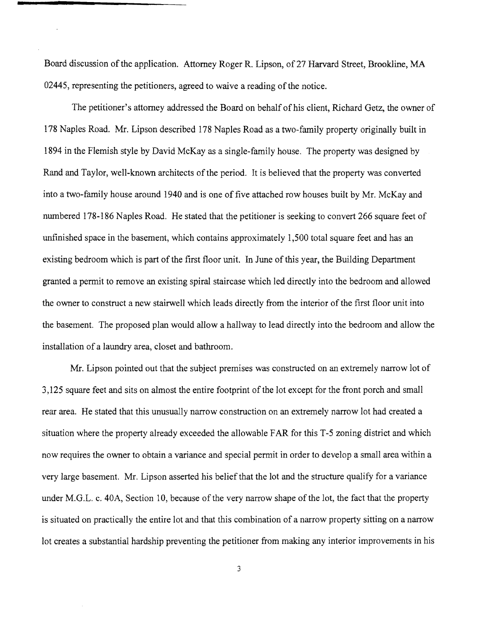Board discussion of the application. Attorney Roger R. Lipson, of 27 Harvard Street, Brookline, MA 02445, representing the petitioners, agreed to waive a reading of the notice.

The petitioner's attorney addressed the Board on behalf of his client, Richard Getz, the owner of 178 Naples Road. Mr. Lipson described 178 Naples Road as a two-family property originally built in 1894 in the Flemish style by David McKay as a single-family house. The property was designed by Rand and Taylor, well-known architects of the period. It is believed that the property was converted into a two-family house around 1940 and is one of five attached row houses built by Mr. McKay and numbered 178-186 Naples Road. He stated that the petitioner is seeking to convert 266 square feet of unfinished space in the basement, which contains approximately 1,500 total square feet and has an existing bedroom which is part of the first floor unit. In June of this year, the Building Department granted a permit to remove an existing spiral staircase which led directly into the bedroom and allowed the owner to construct a new stairwell which leads directly from the interior of the first floor unit into the basement. The proposed plan would allow a hallway to lead directly into the bedroom and allow the installation of a laundry area, closet and bathroom.

Mr. Lipson pointed out that the subject premises was constructed on an extremely narrow lot of 3,125 square feet and sits on almost the entire footprint of the lot except for the front porch and small rear area. He stated that this unusually narrow construction on an extremely narrow lot had created a situation where the property already exceeded the allowable FAR for this T -5 zoning district and which now requires the owner to obtain a variance and special permit in order to develop a small area within a very large basement. Mr. Lipson asserted his belief that the lot and the structure qualify for a variance under M.G.L. c. 40A, Section 10, because of the very narrow shape of the lot, the fact that the property is situated on practically the entire lot and that this combination of a narrow property sitting on a narrow lot creates a substantial hardship preventing the petitioner from making any interior improvements in his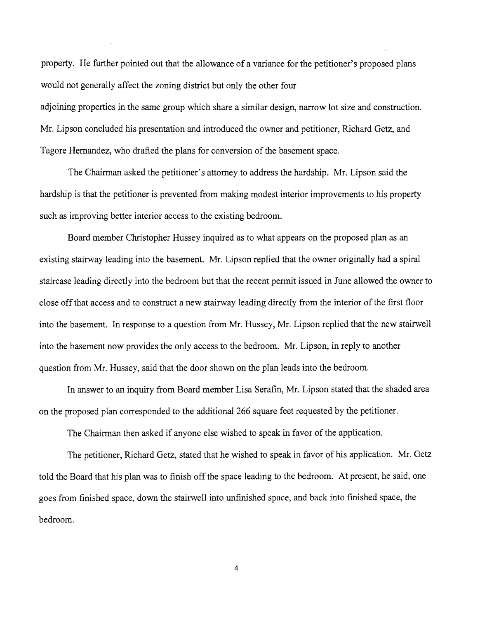property. He further pointed out that the allowance of a variance for the petitioner's proposed plans would not generally affect the zoning district but only the other four

adjoining properties in the same group which share a similar design, narrow lot size and construction. Mr. Lipson concluded his presentation and introduced the owner and petitioner, Richard Getz, and Tagore Hernandez, who drafted the plans for conversion of the basement space.

The Chairman asked the petitioner's attorney to address the hardship. Mr. Lipson said the hardship is that the petitioner is prevented from making modest interior improvements to his property such as improving better interior access to the existing bedroom.

Board member Christopher Hussey inquired as to what appears on the proposed plan as an existing stairway leading into the basement. Mr. Lipson replied that the owner originally had a spiral staircase leading directly into the bedroom but that the recent permit issued in June allowed the owner to close offthat access and to construct a new stairway leading directly from the interior of the first floor into the basement. In response to a question from Mr. Hussey, Mr. Lipson replied that the new stairwell into the basement now provides the only access to the bedroom. Mr. Lipson, in reply to another question from Mr. Hussey, said that the door shown on the plan leads into the bedroom.

In answer to an inquiry from Board member Lisa Serafin, Mr. Lipson stated that the shaded area on the proposed plan corresponded to the additional 266 square feet requested by the petitioner.

The Chairman then asked if anyone else wished to speak in favor of the application.

The petitioner, Richard Getz, stated that he wished to speak in favor of his application. Mr. Getz told the Board that his plan was to finish off the space leading to the bedroom. At present, he said, one goes from finished space, down the stairwell into unfinished space, and back into fmished space, the bedroom.

4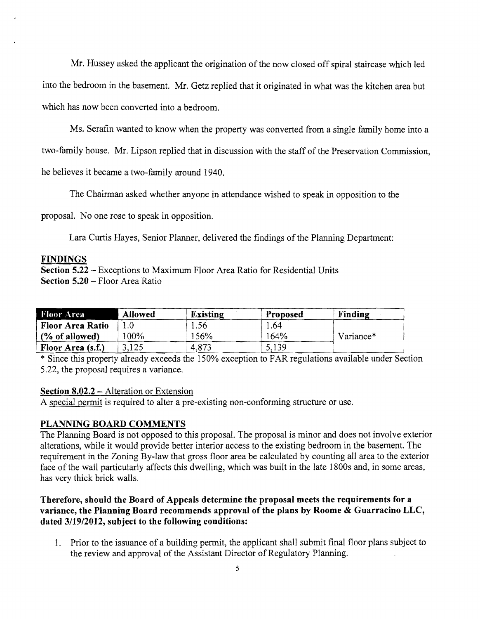Mr. Hussey asked the applicant the origination of the now closed off spiral staircase which led into the bedroom in the basement. Mr. Getz replied that it originated in what was the kitchen area but which has now been converted into a bedroom.

Ms. Serafin wanted to know when the property was converted from a single family home into a

two-family house. Mr. Lipson replied that in discussion with the staff of the Preservation Commission,

he believes it became a two-family around 1940.

The Chairman asked whether anyone in attendance wished to speak in opposition to the

proposal. No one rose to speak in opposition.

Lara Curtis Hayes, Senior Planner, delivered the findings of the Planning Department:

#### FINDINGS

Section 5.22 - Exceptions to Maximum Floor Area Ratio for Residential Units Section 5.20 - Floor Area Ratio

| <b>Floor Area</b>       | <b>Allowed</b> | <b>Existing</b> | Proposed | Finding   |
|-------------------------|----------------|-----------------|----------|-----------|
| <b>Floor Area Ratio</b> |                | . .56           | 1.64     |           |
| (% of allowed)          | 100%           | 156%            | 164%     | Variance* |
| Floor Area (s.f.)       | 3,125          | 4,873           | 5,139    |           |

\* Since this property already exceeds the 150% exception to FAR regulations available under Section 5.22, the proposal requires a variance.

#### Section 8.02.2 – Alteration or Extension

A special permit is required to alter a pre-existing non-conforming structure or use.

#### PLANNING **BOARD** COMMENTS

The Planning Board is not opposed to this proposal. The proposal is minor and does not involve exterior alterations, while it would provide better interior access to the existing bedroom in the basement. The requirement in the Zoning By-law that gross floor area be calculated by counting all area to the exterior face of the wall particularly affects this dwelling, which was built in the late 1800s and, in some areas, has very thick brick walls.

## Therefore, should the Board of Appeals determine the proposal meets the requirements for a variance, the Planning Board recommends approval of the plans by Roome & Guarracino LLC, dated *3/19/2012,* subject to the following conditions:

1. Prior to the issuance of a building permit, the applicant shall submit final floor plans subject to the review and approval of the Assistant Director of Regulatory Planning.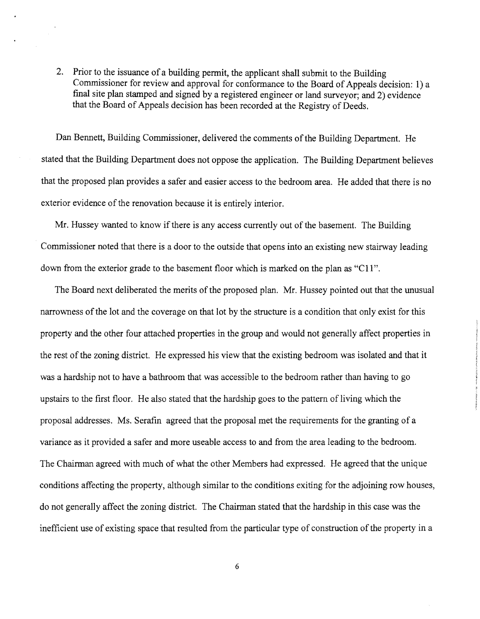2. Prior to the issuance of a building permit, the applicant shall submit to the Building Commissioner for review and approval for conformance to the Board of Appeals decision: 1) a final site plan stamped and signed by a registered engineer or land surveyor; and 2) evidence that the Board of Appeals decision has been recorded at the Registry of Deeds.

Dan Bennett, Building Commissioner, delivered the comments of the Building Department. He stated that the Building Department does not oppose the application. The Building Department believes that the proposed plan provides a safer and easier access to the bedroom area. He added that there is no exterior evidence of the renovation because it is entirely interior.

Mr. Hussey wanted to know if there is any access currently out of the basement. The Building Commissioner noted that there is a door to the outside that opens into an existing new stairway leading down from the exterior grade to the basement floor which is marked on the plan as "CII".

The Board next deliberated the merits of the proposed plan. Mr. Hussey pointed out that the unusual narrowness ofthe lot and the coverage on that lot by the structure is a condition that only exist for this property and the other four attached properties in the group and would not generally affect properties in the rest of the zoning district. He expressed his view that the existing bedroom was isolated and that it was a hardship not to have a bathroom that was accessible to the bedroom rather than having to go upstairs to the first floor. He also stated that the hardship goes to the pattern of living which the proposal addresses. Ms. Serafin agreed that the proposal met the requirements for the granting of a variance as it provided a safer and more useable access to and from the area leading to the bedroom. The Chairman agreed with much of what the other Members had expressed. He agreed that the unique conditions affecting the property, although similar to the conditions exiting for the adjoining row houses, do not generally affect the zoning district. The Chairman stated that the hardship in this case was the inefficient use of existing space that resulted from the particular type of construction of the property in a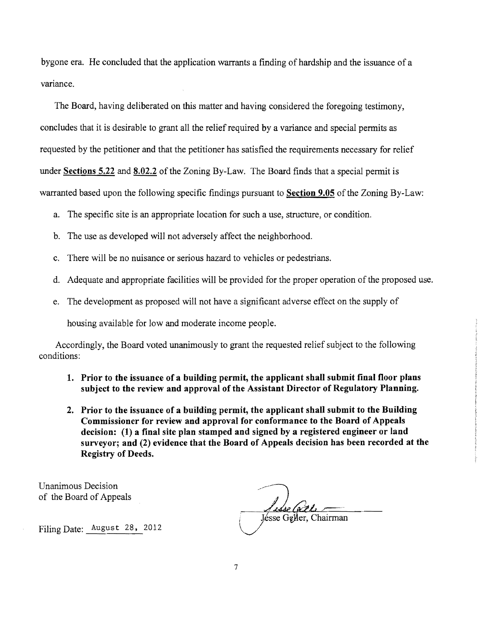bygone era. He concluded that the application warrants a flnding of hardship and the issuance of a variance.

The Board, having deliberated on this matter and having considered the foregoing testimony, concludes that it is desirable to grant all the relief required by a variance and special permits as requested by the petitioner and that the petitioner has satisfled the requirements necessary for relief under Sections 5.22 and 8.02.2 of the Zoning By-Law. The Board finds that a special permit is warranted based upon the following specific findings pursuant to Section 9.05 of the Zoning By-Law:

- a. The specific site is an appropriate location for such a use, structure, or condition.
- b. The use as developed will not adversely affect the neighborhood.
- c. There will be no nuisance or serious hazard to vehicles or pedestrians.
- d. Adequate and appropriate facilities will be provided for the proper operation of the proposed use.
- e. The development as proposed will not have a significant adverse effect on the supply of

housing available for low and moderate income people.

Accordingly, the Board voted unanimously to grant the requested relief subject to the following conditions:

- 1. Prior to the issuance of a building permit, the applicant shall submit final floor plans subject to the review and approval of the Assistant Director of Regulatory Planning.
- 2. Prior to the issuance of a building permit, the applicant shall submit to the Building Commissioner for review and approval for conformance to the Board of Appeals decision: (1) a final site plan stamped and signed by a registered engineer or land surveyor; and (2) evidence that the Board of Appeals decision has been recorded at the Registry of Deeds.

Unanimous Decision of the Board of Appeals

Filing Date: August 28, 2012

Jésse Geller, Chairman